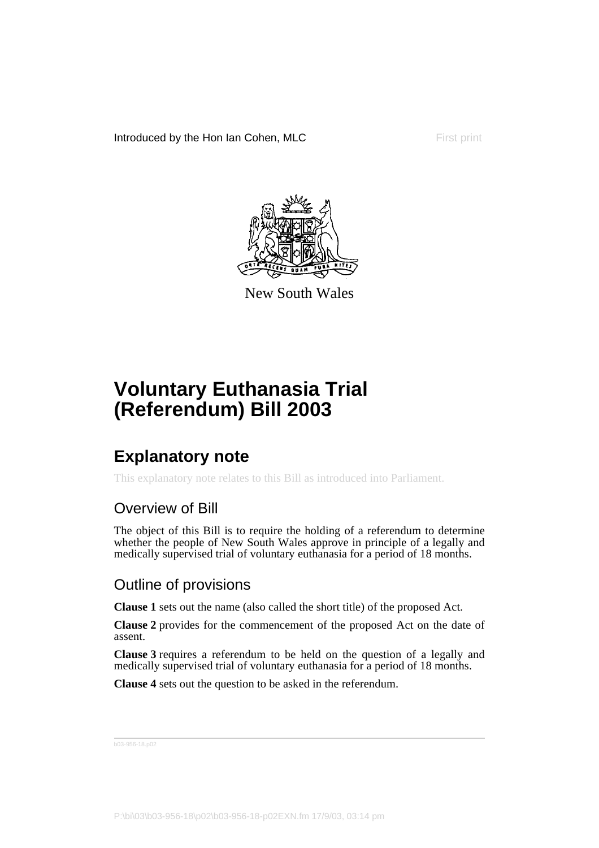Introduced by the Hon Ian Cohen, MLC **First print** 



New South Wales

# **Voluntary Euthanasia Trial (Referendum) Bill 2003**

## **Explanatory note**

This explanatory note relates to this Bill as introduced into Parliament.

## Overview of Bill

The object of this Bill is to require the holding of a referendum to determine whether the people of New South Wales approve in principle of a legally and medically supervised trial of voluntary euthanasia for a period of 18 months.

### Outline of provisions

**Clause 1** sets out the name (also called the short title) of the proposed Act.

**Clause 2** provides for the commencement of the proposed Act on the date of assent.

**Clause 3** requires a referendum to be held on the question of a legally and medically supervised trial of voluntary euthanasia for a period of 18 months.

**Clause 4** sets out the question to be asked in the referendum.

b03-956-18.p02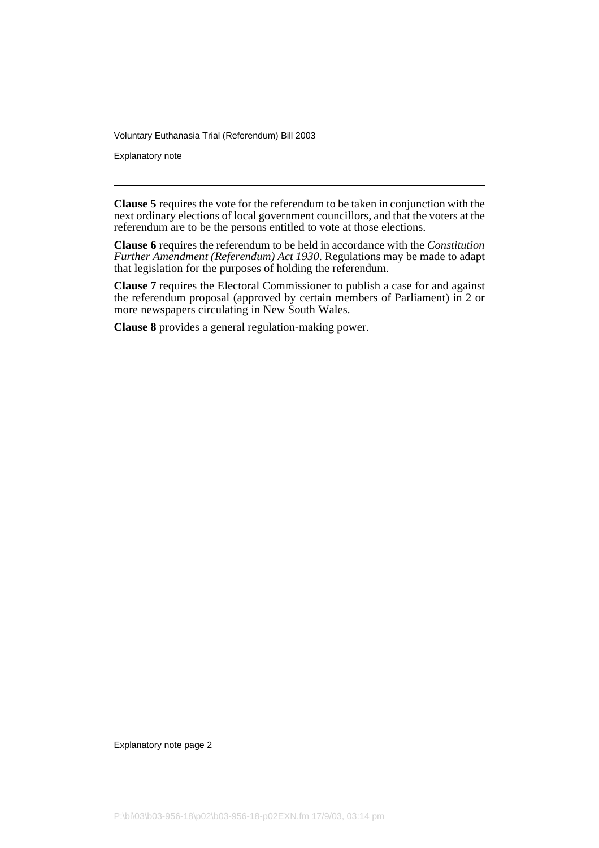Voluntary Euthanasia Trial (Referendum) Bill 2003

Explanatory note

**Clause 5** requires the vote for the referendum to be taken in conjunction with the next ordinary elections of local government councillors, and that the voters at the referendum are to be the persons entitled to vote at those elections.

**Clause 6** requires the referendum to be held in accordance with the *Constitution Further Amendment (Referendum) Act 1930*. Regulations may be made to adapt that legislation for the purposes of holding the referendum.

**Clause 7** requires the Electoral Commissioner to publish a case for and against the referendum proposal (approved by certain members of Parliament) in 2 or more newspapers circulating in New South Wales.

**Clause 8** provides a general regulation-making power.

Explanatory note page 2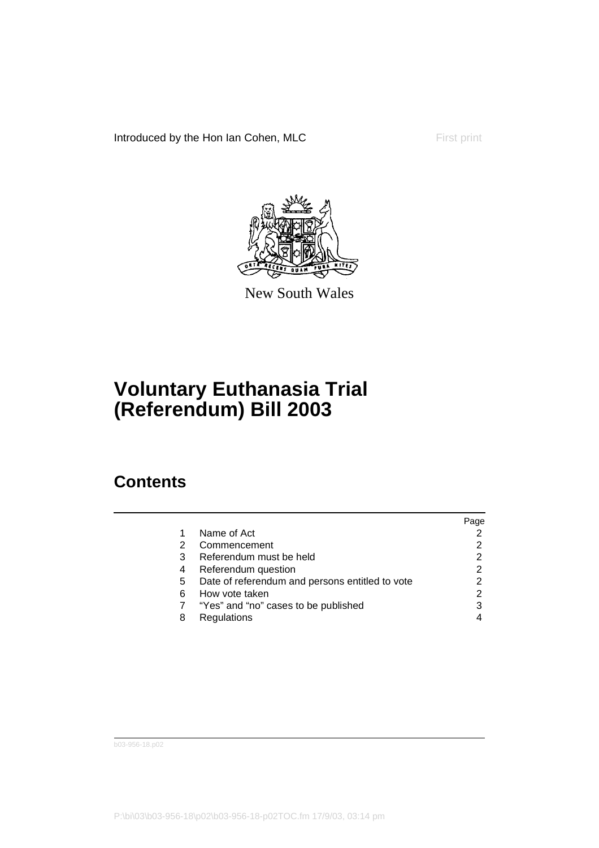Introduced by the Hon Ian Cohen, MLC First print



New South Wales

## **Voluntary Euthanasia Trial (Referendum) Bill 2003**

## **Contents**

|   |                                                 | Page |
|---|-------------------------------------------------|------|
| 1 | Name of Act                                     |      |
| 2 | Commencement                                    |      |
| 3 | Referendum must be held                         | ႒    |
| 4 | Referendum question                             | 2    |
| 5 | Date of referendum and persons entitled to vote |      |
| 6 | How vote taken                                  | っ    |
|   | "Yes" and "no" cases to be published            | 3    |
| 8 | Regulations                                     |      |
|   |                                                 |      |

b03-956-18.p02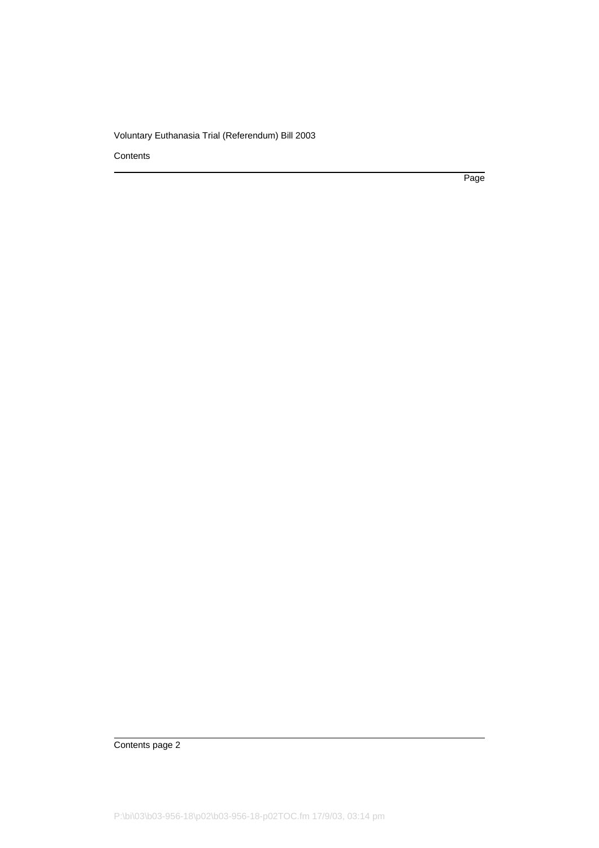#### Voluntary Euthanasia Trial (Referendum) Bill 2003

**Contents** 

Page

Contents page 2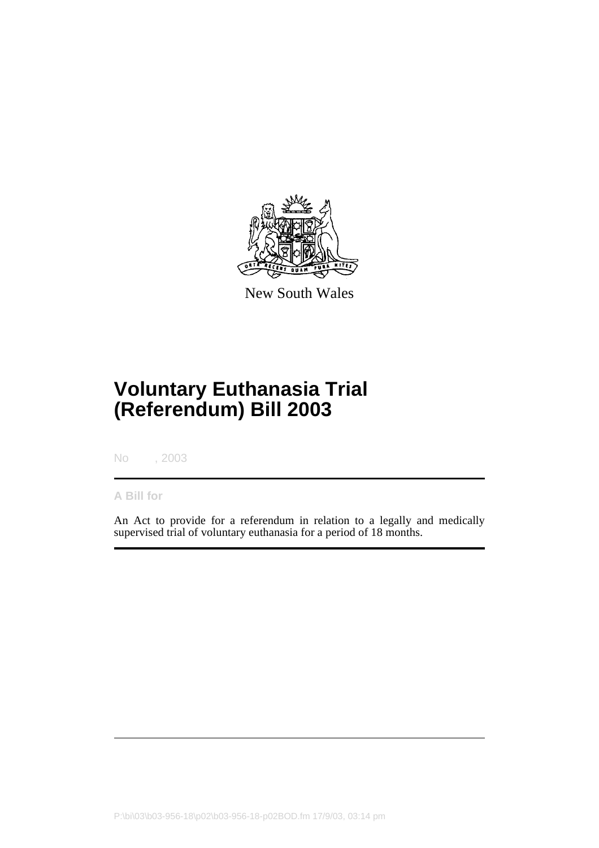

New South Wales

# **Voluntary Euthanasia Trial (Referendum) Bill 2003**

No , 2003

#### **A Bill for**

An Act to provide for a referendum in relation to a legally and medically supervised trial of voluntary euthanasia for a period of 18 months.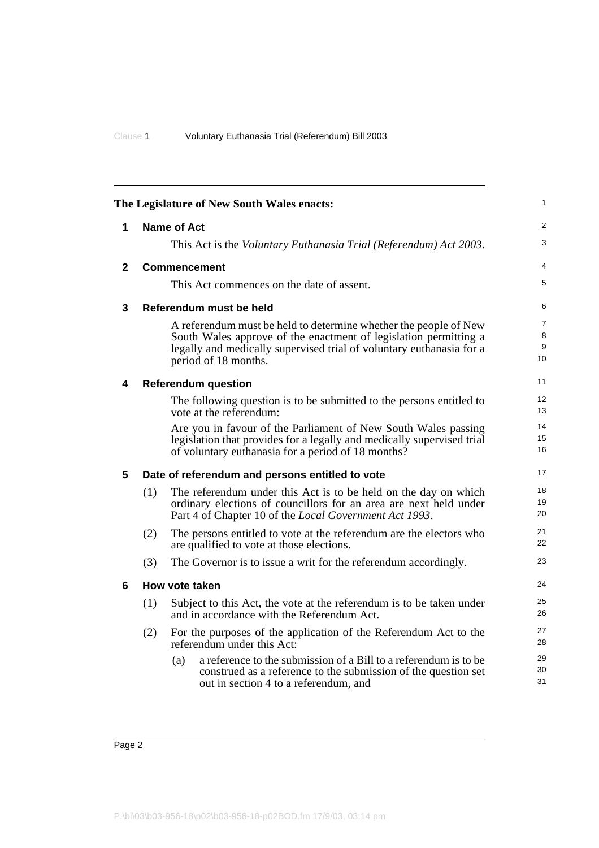<span id="page-5-5"></span><span id="page-5-4"></span><span id="page-5-3"></span><span id="page-5-2"></span><span id="page-5-1"></span><span id="page-5-0"></span>

| $\mathbf{1}$<br>The Legislature of New South Wales enacts: |     |                                                                                                                                                                                                                                      |                                |
|------------------------------------------------------------|-----|--------------------------------------------------------------------------------------------------------------------------------------------------------------------------------------------------------------------------------------|--------------------------------|
| 1                                                          |     | <b>Name of Act</b>                                                                                                                                                                                                                   | $\overline{2}$                 |
|                                                            |     | This Act is the <i>Voluntary Euthanasia Trial (Referendum) Act 2003</i> .                                                                                                                                                            | 3                              |
| $\mathbf{2}$                                               |     | <b>Commencement</b>                                                                                                                                                                                                                  | 4                              |
|                                                            |     | This Act commences on the date of assent.                                                                                                                                                                                            | 5                              |
| 3                                                          |     | Referendum must be held                                                                                                                                                                                                              | 6                              |
|                                                            |     | A referendum must be held to determine whether the people of New<br>South Wales approve of the enactment of legislation permitting a<br>legally and medically supervised trial of voluntary euthanasia for a<br>period of 18 months. | $\overline{7}$<br>8<br>9<br>10 |
| 4                                                          |     | <b>Referendum question</b>                                                                                                                                                                                                           | 11                             |
|                                                            |     | The following question is to be submitted to the persons entitled to<br>vote at the referendum:                                                                                                                                      | 12 <sup>2</sup><br>13          |
|                                                            |     | Are you in favour of the Parliament of New South Wales passing<br>legislation that provides for a legally and medically supervised trial<br>of voluntary euthanasia for a period of 18 months?                                       | 14<br>15<br>16                 |
| 5                                                          |     | Date of referendum and persons entitled to vote                                                                                                                                                                                      | 17                             |
|                                                            | (1) | The referendum under this Act is to be held on the day on which<br>ordinary elections of councillors for an area are next held under<br>Part 4 of Chapter 10 of the Local Government Act 1993.                                       | 18<br>19<br>20                 |
|                                                            | (2) | The persons entitled to vote at the referendum are the electors who<br>are qualified to vote at those elections.                                                                                                                     | 21<br>22                       |
|                                                            | (3) | The Governor is to issue a writ for the referendum accordingly.                                                                                                                                                                      | 23                             |
| 6                                                          |     | How vote taken                                                                                                                                                                                                                       | 24                             |
|                                                            | (1) | Subject to this Act, the vote at the referendum is to be taken under<br>and in accordance with the Referendum Act.                                                                                                                   | 25<br>26                       |
|                                                            | (2) | For the purposes of the application of the Referendum Act to the<br>referendum under this Act:                                                                                                                                       | 27<br>28                       |
|                                                            |     | a reference to the submission of a Bill to a referendum is to be<br>(a)<br>construed as a reference to the submission of the question set<br>out in section 4 to a referendum, and                                                   | 29<br>30<br>31                 |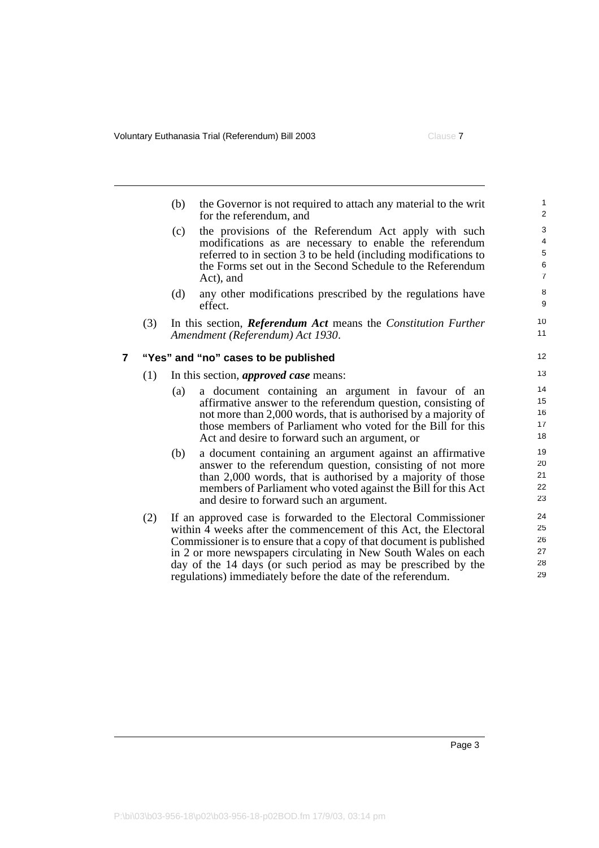<span id="page-6-0"></span>

|     | (b)<br>the Governor is not required to attach any material to the writ<br>for the referendum, and                                                                                                                                                                                                                                                                                                          | $\mathbf{1}$<br>2                  |
|-----|------------------------------------------------------------------------------------------------------------------------------------------------------------------------------------------------------------------------------------------------------------------------------------------------------------------------------------------------------------------------------------------------------------|------------------------------------|
|     | the provisions of the Referendum Act apply with such<br>(c)<br>modifications as are necessary to enable the referendum<br>referred to in section 3 to be held (including modifications to<br>the Forms set out in the Second Schedule to the Referendum<br>Act), and                                                                                                                                       | 3<br>4<br>5<br>6<br>$\overline{7}$ |
|     | any other modifications prescribed by the regulations have<br>(d)<br>effect.                                                                                                                                                                                                                                                                                                                               | 8<br>9                             |
| (3) | In this section, <i>Referendum Act</i> means the <i>Constitution Further</i><br>Amendment (Referendum) Act 1930.                                                                                                                                                                                                                                                                                           | 10 <sup>1</sup><br>11              |
| 7   | "Yes" and "no" cases to be published                                                                                                                                                                                                                                                                                                                                                                       | 12                                 |
| (1) | In this section, <i>approved case</i> means:                                                                                                                                                                                                                                                                                                                                                               | 13                                 |
|     | a document containing an argument in favour of an<br>(a)<br>affirmative answer to the referendum question, consisting of<br>not more than 2,000 words, that is authorised by a majority of<br>those members of Parliament who voted for the Bill for this<br>Act and desire to forward such an argument, or                                                                                                | 14<br>15<br>16<br>17<br>18         |
|     | (b)<br>a document containing an argument against an affirmative<br>answer to the referendum question, consisting of not more<br>than 2,000 words, that is authorised by a majority of those<br>members of Parliament who voted against the Bill for this Act<br>and desire to forward such an argument.                                                                                                    | 19<br>20<br>21<br>22<br>23         |
| (2) | If an approved case is forwarded to the Electoral Commissioner<br>within 4 weeks after the commencement of this Act, the Electoral<br>Commissioner is to ensure that a copy of that document is published<br>in 2 or more newspapers circulating in New South Wales on each<br>day of the 14 days (or such period as may be prescribed by the<br>requisions) immediately before the date of the referendum | 24<br>25<br>26<br>27<br>28<br>29   |

regulations) immediately before the date of the referendum.